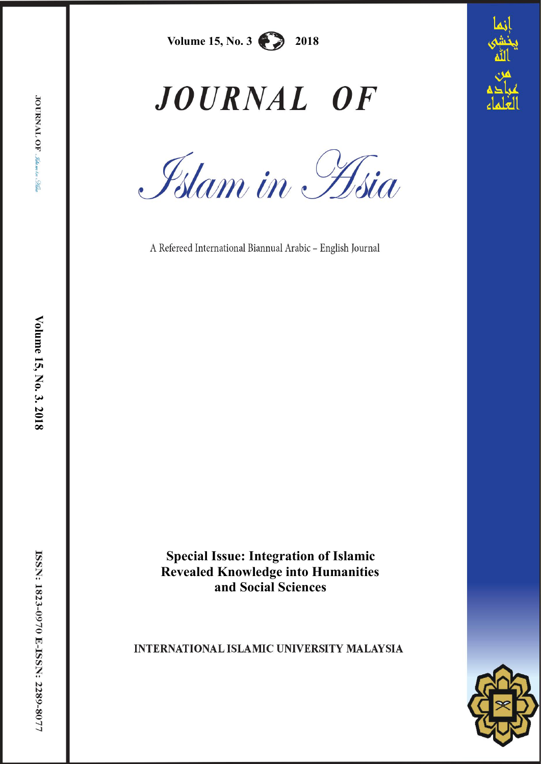

# JOURNAL OF

Islam in Hsia

A Refereed International Biannual Arabic - English Journal

**Special Issue: Integration of Islamic Revealed Knowledge into Humanities and Social Sciences**

# **INTERNATIONAL ISLAMIC UNIVERSITY MALAYSIA**

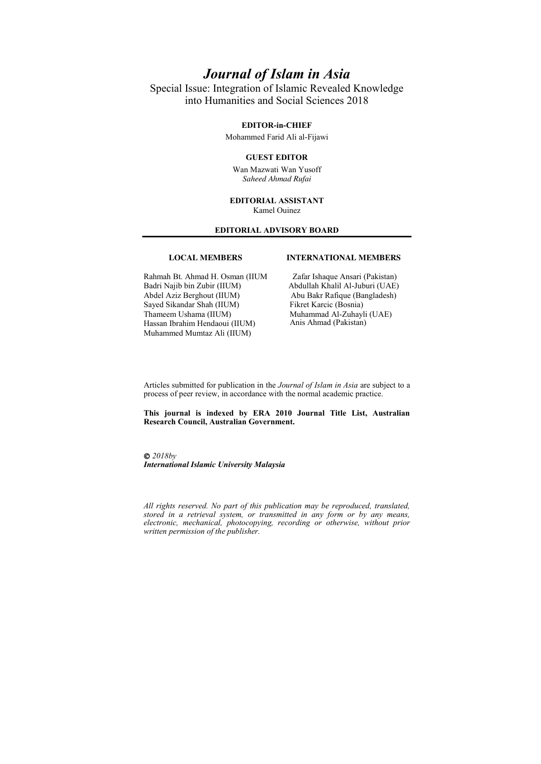# *Journal of Islam in Asia*

Special Issue: Integration of Islamic Revealed Knowledge into Humanities and Social Sciences 2018

#### **EDITOR-in-CHIEF**

Mohammed Farid Ali al-Fijawi

#### **GUEST EDITOR**

Wan Mazwati Wan Yusoff *Saheed Ahmad Rufai*

#### **EDITORIAL ASSISTANT** Kamel Ouinez

#### **EDITORIAL ADVISORY BOARD**

#### **LOCAL MEMBERS**

#### Rahmah Bt. Ahmad H. Osman (IIUM Badri Najib bin Zubir (IIUM) Abdel Aziz Berghout (IIUM) Sayed Sikandar Shah (IIUM) Thameem Ushama (IIUM) Hassan Ibrahim Hendaoui (IIUM) Muhammed Mumtaz Ali (IIUM)

Zafar Ishaque Ansari (Pakistan) Abdullah Khalil Al-Juburi (UAE) Abu Bakr Rafique (Bangladesh) Fikret Karcic (Bosnia)

 Muhammad Al-Zuhayli (UAE) Anis Ahmad (Pakistan)

**INTERNATIONAL MEMBERS**

Articles submitted for publication in the *Journal of Islam in Asia* are subject to a process of peer review, in accordance with the normal academic practice.

**This journal is indexed by ERA 2010 Journal Title List, Australian Research Council, Australian Government.** 

 *2018by International Islamic University Malaysia*

*All rights reserved. No part of this publication may be reproduced, translated, stored in a retrieval system, or transmitted in any form or by any means, electronic, mechanical, photocopying, recording or otherwise, without prior written permission of the publisher.*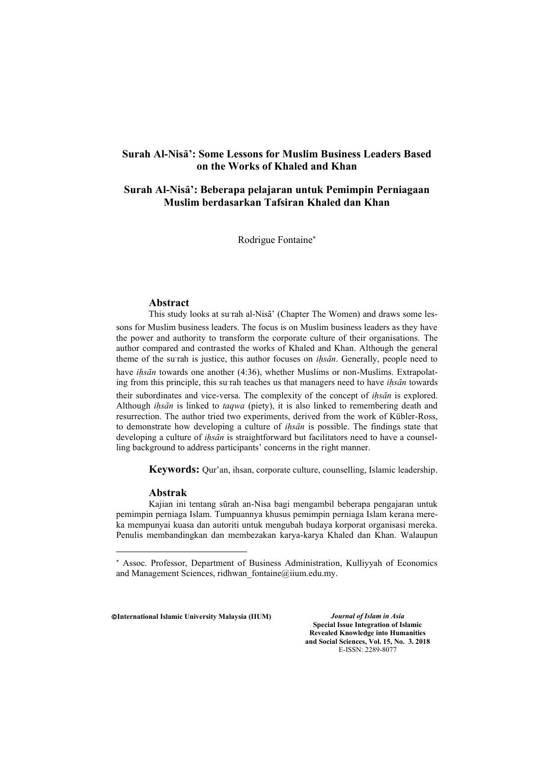# **Surah Al-NisÉ': Some Lessons for Muslim Business Leaders Based on the Works of Khaled and Khan**

# **Surah Al-NisÉ': Beberapa pelajaran untuk Pemimpin Perniagaan Muslim berdasarkan Tafsiran Khaled dan Khan**

Rodrigue Fontaine

#### **Abstract**

This study looks at surah al-Nisā' (Chapter The Women) and draws some lessons for Muslim business leaders. The focus is on Muslim business leaders as they have the power and authority to transform the corporate culture of their organisations. The author compared and contrasted the works of Khaled and Khan. Although the general theme of the surah is justice, this author focuses on *ihsān*. Generally, people need to have *ihsān* towards one another (4:36), whether Muslims or non-Muslims. Extrapolating from this principle, this su $\tau$ ah teaches us that managers need to have *ihsān* towards

their subordinates and vice-versa. The complexity of the concept of *ihsān* is explored. Although *ihsān* is linked to *taqwa* (piety), it is also linked to remembering death and resurrection. The author tried two experiments, derived from the work of Kübler-Ross, to demonstrate how developing a culture of *ihsān* is possible. The findings state that developing a culture of *ihsān* is straightforward but facilitators need to have a counselling background to address participants' concerns in the right manner.

**Keywords:** Qur'an, ihsan, corporate culture, counselling, Islamic leadership.

#### **Abstrak**

1

Kajian ini tentang sūrah an-Nisa bagi mengambil beberapa pengajaran untuk pemimpin perniaga Islam. Tumpuannya khusus pemimpin perniaga Islam kerana mereka mempunyai kuasa dan autoriti untuk mengubah budaya korporat organisasi mereka. Penulis membandingkan dan membezakan karya-karya Khaled dan Khan. Walaupun

©**International Islamic University Malaysia (IIUM)** *Journal of Islam in Asia*

**Special Issue Integration of Islamic Revealed Knowledge into Humanities and Social Sciences, Vol. 15, No. 3. 2018** E-ISSN: 2289-8077

 Assoc. Professor, Department of Business Administration, Kulliyyah of Economics and Management Sciences, ridhwan fontaine@iium.edu.my.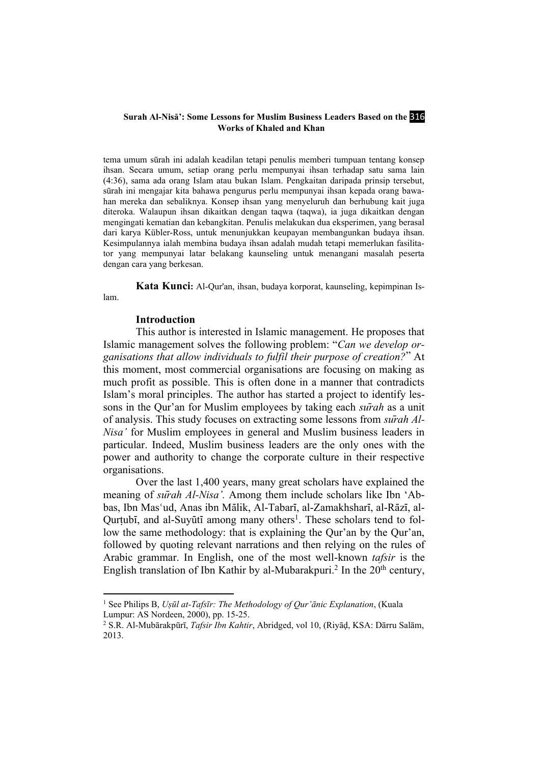#### **Surah Al-Nisa': Some Lessons for Muslim Business Leaders Based on the 316 Works of Khaled and Khan**

tema umum sūrah ini adalah keadilan tetapi penulis memberi tumpuan tentang konsep ihsan. Secara umum, setiap orang perlu mempunyai ihsan terhadap satu sama lain (4:36), sama ada orang Islam atau bukan Islam. Pengkaitan daripada prinsip tersebut, sūrah ini mengajar kita bahawa pengurus perlu mempunyai ihsan kepada orang bawahan mereka dan sebaliknya. Konsep ihsan yang menyeluruh dan berhubung kait juga diteroka. Walaupun ihsan dikaitkan dengan taqwa (taqwa), ia juga dikaitkan dengan mengingati kematian dan kebangkitan. Penulis melakukan dua eksperimen, yang berasal dari karya Kübler-Ross, untuk menunjukkan keupayan membangunkan budaya ihsan. Kesimpulannya ialah membina budaya ihsan adalah mudah tetapi memerlukan fasilitator yang mempunyai latar belakang kaunseling untuk menangani masalah peserta dengan cara yang berkesan.

**Kata Kunci:** Al-Qur'an, ihsan, budaya korporat, kaunseling, kepimpinan Islam.

#### **Introduction**

1

This author is interested in Islamic management. He proposes that Islamic management solves the following problem: "*Can we develop organisations that allow individuals to fulfil their purpose of creation?*" At this moment, most commercial organisations are focusing on making as much profit as possible. This is often done in a manner that contradicts Islam's moral principles. The author has started a project to identify lessons in the Qur'an for Muslim employees by taking each *sūrah* as a unit of analysis. This study focuses on extracting some lessons from *sūrah Al-Nisa'* for Muslim employees in general and Muslim business leaders in particular. Indeed, Muslim business leaders are the only ones with the power and authority to change the corporate culture in their respective organisations.

Over the last 1,400 years, many great scholars have explained the meaning of *surah Al-Nisa*<sup>'</sup>. Among them include scholars like Ibn 'Abbas, Ibn Mas'ud, Anas ibn Mālik, Al-Tabarī, al-Zamakhsharī, al-Rāzī, al-Qurtubī, and al-Suyūtī among many others<sup>1</sup>. These scholars tend to follow the same methodology: that is explaining the Qur'an by the Qur'an, followed by quoting relevant narrations and then relying on the rules of Arabic grammar. In English, one of the most well-known *tafsir* is the English translation of Ibn Kathir by al-Mubarakpuri.<sup>2</sup> In the  $20<sup>th</sup>$  century,

<sup>1</sup> See Philips B, *Uṣūl at-Tafsīr: The Methodology of Qur'ānic Explanation*, (Kuala Lumpur: AS Nordeen, 2000), pp. 15-25.<br><sup>2</sup> S.R. Al-Mubārakpūrī, *Tafsir Ibn Kahtir*, Abridged, vol 10, (Riyāḍ, KSA: Dārru Salām,

<sup>2013.</sup>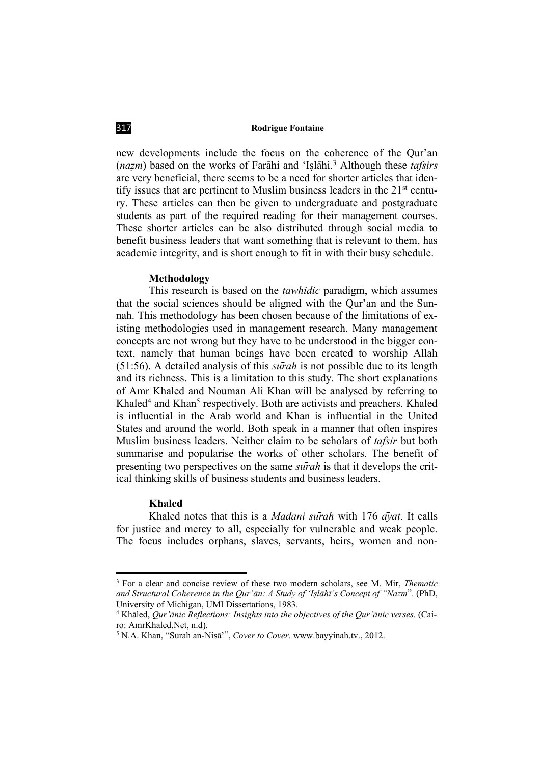new developments include the focus on the coherence of the Qur'an (*nazm*) based on the works of Farāhi and 'Islāhi.<sup>3</sup> Although these *tafsirs* are very beneficial, there seems to be a need for shorter articles that identify issues that are pertinent to Muslim business leaders in the  $21<sup>st</sup>$  century. These articles can then be given to undergraduate and postgraduate students as part of the required reading for their management courses. These shorter articles can be also distributed through social media to benefit business leaders that want something that is relevant to them, has academic integrity, and is short enough to fit in with their busy schedule.

### **Methodology**

This research is based on the *tawhidic* paradigm, which assumes that the social sciences should be aligned with the Qur'an and the Sunnah. This methodology has been chosen because of the limitations of existing methodologies used in management research. Many management concepts are not wrong but they have to be understood in the bigger context, namely that human beings have been created to worship Allah (51:56). A detailed analysis of this *sūrah* is not possible due to its length and its richness. This is a limitation to this study. The short explanations of Amr Khaled and Nouman Ali Khan will be analysed by referring to Khaled<sup>4</sup> and Khan<sup>5</sup> respectively. Both are activists and preachers. Khaled is influential in the Arab world and Khan is influential in the United States and around the world. Both speak in a manner that often inspires Muslim business leaders. Neither claim to be scholars of *tafsir* but both summarise and popularise the works of other scholars. The benefit of presenting two perspectives on the same *sūrah* is that it develops the critical thinking skills of business students and business leaders.

#### **Khaled**

**.** 

Khaled notes that this is a *Madani sūrah* with 176 *āyat*. It calls for justice and mercy to all, especially for vulnerable and weak people. The focus includes orphans, slaves, servants, heirs, women and non-

<sup>3</sup> For a clear and concise review of these two modern scholars, see M. Mir, *Thematic and Structural Coherence in the Qur'ān: A Study of 'Iṣlāhī's Concept of "Nazm*". (PhD, University of Michigan, UMI Dissertations, 1983.

<sup>4</sup> Khāled, *Qur'ānic Reflections: Insights into the objectives of the Qur'ānic verses*. (Cairo: AmrKhaled.Net, n.d).

<sup>5</sup> N.A. Khan, "Surah an-Nisā'", *Cover to Cover*. [www.bayyinah.tv.](http://www.bayyinah.tv/), 2012.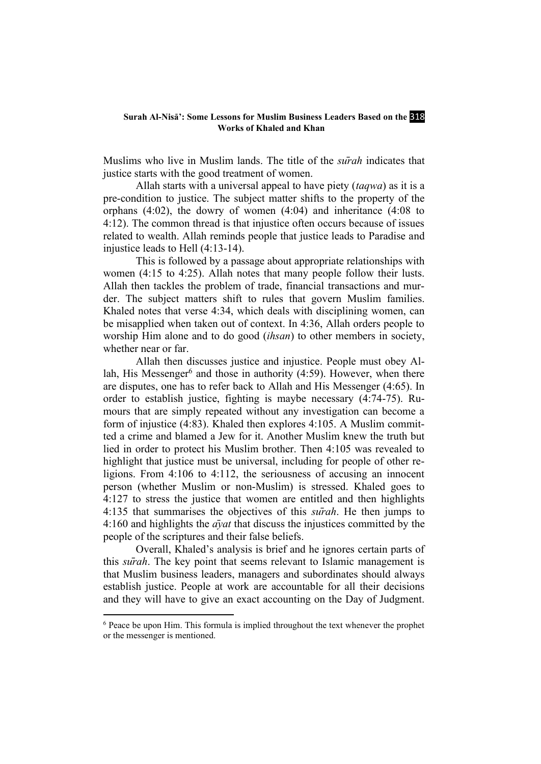#### **Surah Al-Nisā': Some Lessons for Muslim Business Leaders Based on the 318 Works of Khaled and Khan**

Muslims who live in Muslim lands. The title of the *sūrah* indicates that justice starts with the good treatment of women.

Allah starts with a universal appeal to have piety (*taqwa*) as it is a pre-condition to justice. The subject matter shifts to the property of the orphans (4:02), the dowry of women (4:04) and inheritance (4:08 to 4:12). The common thread is that injustice often occurs because of issues related to wealth. Allah reminds people that justice leads to Paradise and injustice leads to Hell (4:13-14).

This is followed by a passage about appropriate relationships with women (4:15 to 4:25). Allah notes that many people follow their lusts. Allah then tackles the problem of trade, financial transactions and murder. The subject matters shift to rules that govern Muslim families. Khaled notes that verse 4:34, which deals with disciplining women, can be misapplied when taken out of context. In 4:36, Allah orders people to worship Him alone and to do good (*ihsan*) to other members in society, whether near or far.

Allah then discusses justice and injustice. People must obey Allah, His Messenger<sup>6</sup> and those in authority  $(4:59)$ . However, when there are disputes, one has to refer back to Allah and His Messenger (4:65). In order to establish justice, fighting is maybe necessary (4:74-75). Rumours that are simply repeated without any investigation can become a form of injustice (4:83). Khaled then explores 4:105. A Muslim committed a crime and blamed a Jew for it. Another Muslim knew the truth but lied in order to protect his Muslim brother. Then 4:105 was revealed to highlight that justice must be universal, including for people of other religions. From 4:106 to 4:112, the seriousness of accusing an innocent person (whether Muslim or non-Muslim) is stressed. Khaled goes to 4:127 to stress the justice that women are entitled and then highlights 4:135 that summarises the objectives of this *sūrah*. He then jumps to 4:160 and highlights the *āyat* that discuss the injustices committed by the people of the scriptures and their false beliefs.

Overall, Khaled's analysis is brief and he ignores certain parts of this *sūrah*. The key point that seems relevant to Islamic management is that Muslim business leaders, managers and subordinates should always establish justice. People at work are accountable for all their decisions and they will have to give an exact accounting on the Day of Judgment.

 $6$  Peace be upon Him. This formula is implied throughout the text whenever the prophet or the messenger is mentioned.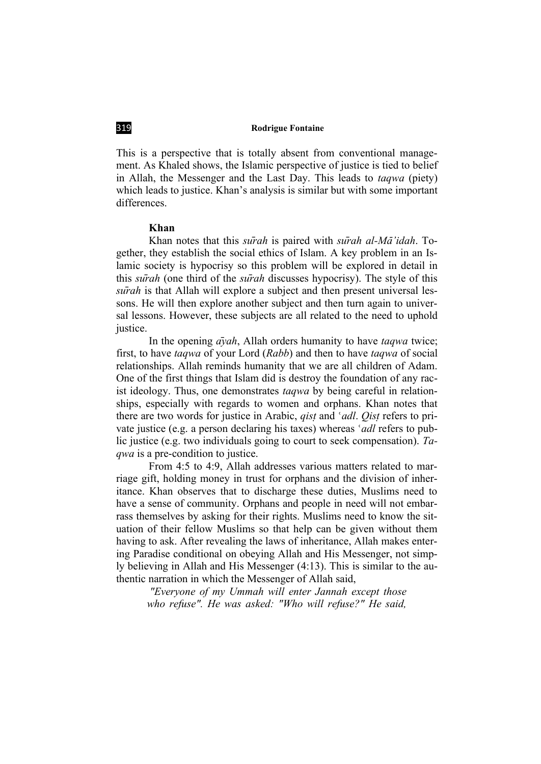This is a perspective that is totally absent from conventional management. As Khaled shows, the Islamic perspective of justice is tied to belief in Allah, the Messenger and the Last Day. This leads to *taqwa* (piety) which leads to justice. Khan's analysis is similar but with some important differences.

# **Khan**

Khan notes that this *sūrah* is paired with *sūrah al-MÉ'idah*. Together, they establish the social ethics of Islam. A key problem in an Islamic society is hypocrisy so this problem will be explored in detail in this *sūrah* (one third of the *sūrah* discusses hypocrisy). The style of this *sūrah* is that Allah will explore a subject and then present universal lessons. He will then explore another subject and then turn again to universal lessons. However, these subjects are all related to the need to uphold justice.

In the opening *āyah*, Allah orders humanity to have *taqwa* twice; first, to have *taqwa* of your Lord (*Rabb*) and then to have *taqwa* of social relationships. Allah reminds humanity that we are all children of Adam. One of the first things that Islam did is destroy the foundation of any racist ideology. Thus, one demonstrates *taqwa* by being careful in relationships, especially with regards to women and orphans. Khan notes that there are two words for justice in Arabic, *qist* and *'adl. Qist* refers to private justice (e.g. a person declaring his taxes) whereas *'adl* refers to public justice (e.g. two individuals going to court to seek compensation). *Taqwa* is a pre-condition to justice.

From 4:5 to 4:9, Allah addresses various matters related to marriage gift, holding money in trust for orphans and the division of inheritance. Khan observes that to discharge these duties, Muslims need to have a sense of community. Orphans and people in need will not embarrass themselves by asking for their rights. Muslims need to know the situation of their fellow Muslims so that help can be given without them having to ask. After revealing the laws of inheritance, Allah makes entering Paradise conditional on obeying Allah and His Messenger, not simply believing in Allah and His Messenger (4:13). This is similar to the authentic narration in which the Messenger of Allah said,

*"Everyone of my Ummah will enter Jannah except those who refuse". He was asked: "Who will refuse?" He said,*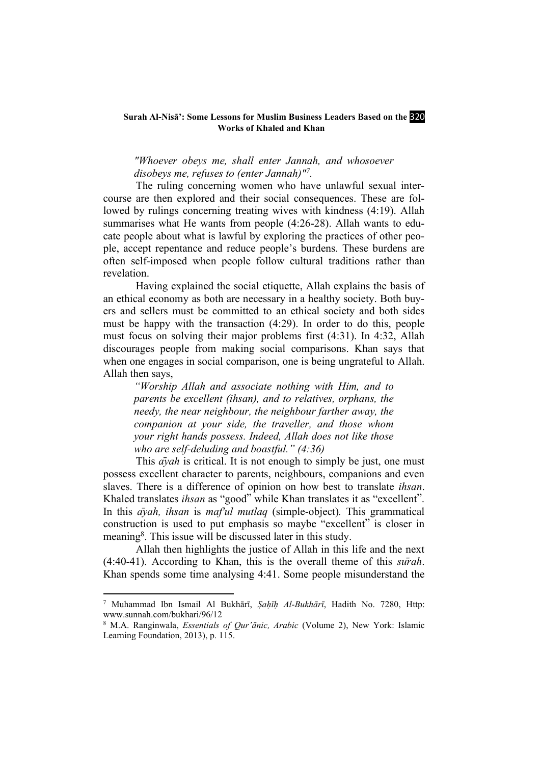#### **Surah Al-Nisa: Some Lessons for Muslim Business Leaders Based on the 320 Works of Khaled and Khan**

*"Whoever obeys me, shall enter Jannah, and whosoever disobeys me, refuses to (enter Jannah)"7.*

The ruling concerning women who have unlawful sexual intercourse are then explored and their social consequences. These are followed by rulings concerning treating wives with kindness (4:19). Allah summarises what He wants from people (4:26-28). Allah wants to educate people about what is lawful by exploring the practices of other people, accept repentance and reduce people's burdens. These burdens are often self-imposed when people follow cultural traditions rather than revelation.

Having explained the social etiquette, Allah explains the basis of an ethical economy as both are necessary in a healthy society. Both buyers and sellers must be committed to an ethical society and both sides must be happy with the transaction (4:29). In order to do this, people must focus on solving their major problems first (4:31). In 4:32, Allah discourages people from making social comparisons. Khan says that when one engages in social comparison, one is being ungrateful to Allah. Allah then says,

*"Worship Allah and associate nothing with Him, and to parents be excellent (ihsan), and to relatives, orphans, the needy, the near neighbour, the neighbour farther away, the companion at your side, the traveller, and those whom your right hands possess. Indeed, Allah does not like those who are self-deluding and boastful." (4:36)*

This *a* $\bar{v}$ *ah* is critical. It is not enough to simply be just, one must possess excellent character to parents, neighbours, companions and even slaves. There is a difference of opinion on how best to translate *ihsan*. Khaled translates *ihsan* as "good" while Khan translates it as "excellent". In this *āyah, ihsan* is *maf'ul mutlaq* (simple-object)*.* This grammatical construction is used to put emphasis so maybe "excellent" is closer in meaning<sup>8</sup>. This issue will be discussed later in this study.

Allah then highlights the justice of Allah in this life and the next (4:40-41). According to Khan, this is the overall theme of this *sūrah*. Khan spends some time analysing 4:41. Some people misunderstand the

<sup>7</sup> Muhammad Ibn Ismail Al Bukhārī, *Ṣaḥīḥ Al-Bukhārī*, Hadith No. 7280, Http: www.sunnah.com/bukhari/96/12

<sup>8</sup> M.A. Ranginwala, *Essentials of Qur'ānic, Arabic* (Volume 2), New York: Islamic Learning Foundation, 2013), p. 115.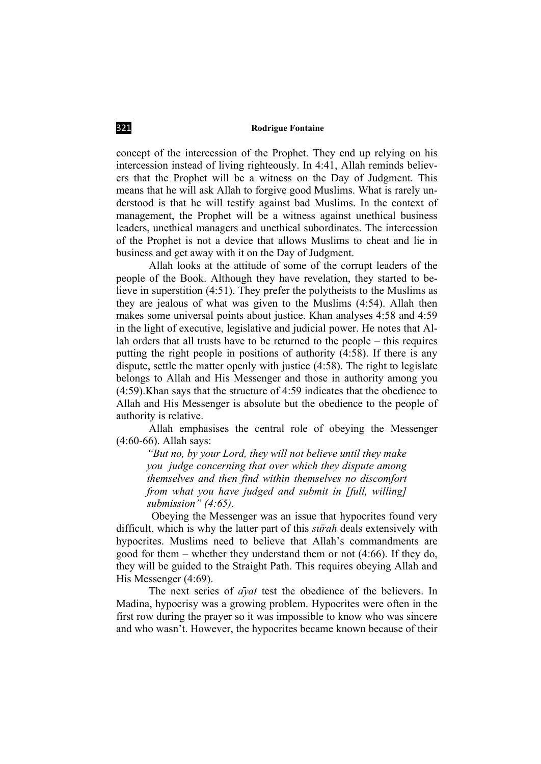concept of the intercession of the Prophet. They end up relying on his intercession instead of living righteously. In 4:41, Allah reminds believers that the Prophet will be a witness on the Day of Judgment. This means that he will ask Allah to forgive good Muslims. What is rarely understood is that he will testify against bad Muslims. In the context of management, the Prophet will be a witness against unethical business leaders, unethical managers and unethical subordinates. The intercession of the Prophet is not a device that allows Muslims to cheat and lie in business and get away with it on the Day of Judgment.

Allah looks at the attitude of some of the corrupt leaders of the people of the Book. Although they have revelation, they started to believe in superstition (4:51). They prefer the polytheists to the Muslims as they are jealous of what was given to the Muslims (4:54). Allah then makes some universal points about justice. Khan analyses 4:58 and 4:59 in the light of executive, legislative and judicial power. He notes that Allah orders that all trusts have to be returned to the people – this requires putting the right people in positions of authority (4:58). If there is any dispute, settle the matter openly with justice (4:58). The right to legislate belongs to Allah and His Messenger and those in authority among you (4:59).Khan says that the structure of 4:59 indicates that the obedience to Allah and His Messenger is absolute but the obedience to the people of authority is relative.

Allah emphasises the central role of obeying the Messenger (4:60-66). Allah says:

*"But no, by your Lord, they will not believe until they make you judge concerning that over which they dispute among themselves and then find within themselves no discomfort from what you have judged and submit in [full, willing] submission" (4:65).*

Obeying the Messenger was an issue that hypocrites found very difficult, which is why the latter part of this *sūrah* deals extensively with hypocrites. Muslims need to believe that Allah's commandments are good for them – whether they understand them or not (4:66). If they do, they will be guided to the Straight Path. This requires obeying Allah and His Messenger (4:69).

The next series of *āyat* test the obedience of the believers. In Madina, hypocrisy was a growing problem. Hypocrites were often in the first row during the prayer so it was impossible to know who was sincere and who wasn't. However, the hypocrites became known because of their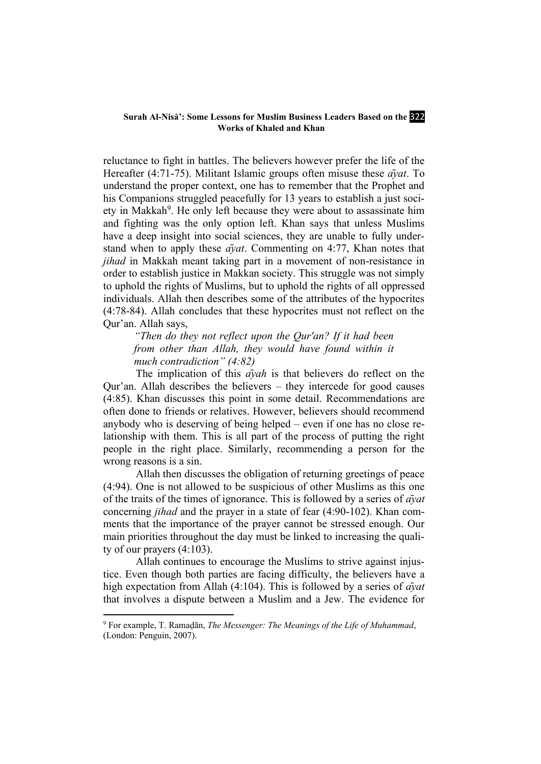#### **Surah Al-Nisā': Some Lessons for Muslim Business Leaders Based on the 322 Works of Khaled and Khan**

reluctance to fight in battles. The believers however prefer the life of the Hereafter (4:71-75). Militant Islamic groups often misuse these *āyat*. To understand the proper context, one has to remember that the Prophet and his Companions struggled peacefully for 13 years to establish a just society in Makkah<sup>9</sup>. He only left because they were about to assassinate him and fighting was the only option left. Khan says that unless Muslims have a deep insight into social sciences, they are unable to fully understand when to apply these *āyat*. Commenting on 4:77, Khan notes that *jihad* in Makkah meant taking part in a movement of non-resistance in order to establish justice in Makkan society. This struggle was not simply to uphold the rights of Muslims, but to uphold the rights of all oppressed individuals. Allah then describes some of the attributes of the hypocrites (4:78-84). Allah concludes that these hypocrites must not reflect on the Qur'an. Allah says,

*"Then do they not reflect upon the Qur'an? If it had been from other than Allah, they would have found within it much contradiction" (4:82)*

The implication of this *āyah* is that believers do reflect on the Qur'an. Allah describes the believers – they intercede for good causes (4:85). Khan discusses this point in some detail. Recommendations are often done to friends or relatives. However, believers should recommend anybody who is deserving of being helped – even if one has no close relationship with them. This is all part of the process of putting the right people in the right place. Similarly, recommending a person for the wrong reasons is a sin.

Allah then discusses the obligation of returning greetings of peace (4:94). One is not allowed to be suspicious of other Muslims as this one of the traits of the times of ignorance. This is followed by a series of *āyat*  concerning *jihad* and the prayer in a state of fear (4:90-102). Khan comments that the importance of the prayer cannot be stressed enough. Our main priorities throughout the day must be linked to increasing the quality of our prayers (4:103).

Allah continues to encourage the Muslims to strive against injustice. Even though both parties are facing difficulty, the believers have a high expectation from Allah (4:104). This is followed by a series of *āyat* that involves a dispute between a Muslim and a Jew. The evidence for

<sup>9</sup> For example, T. Ramaḍān, *The Messenger: The Meanings of the Life of Muhammad*, (London: Penguin, 2007).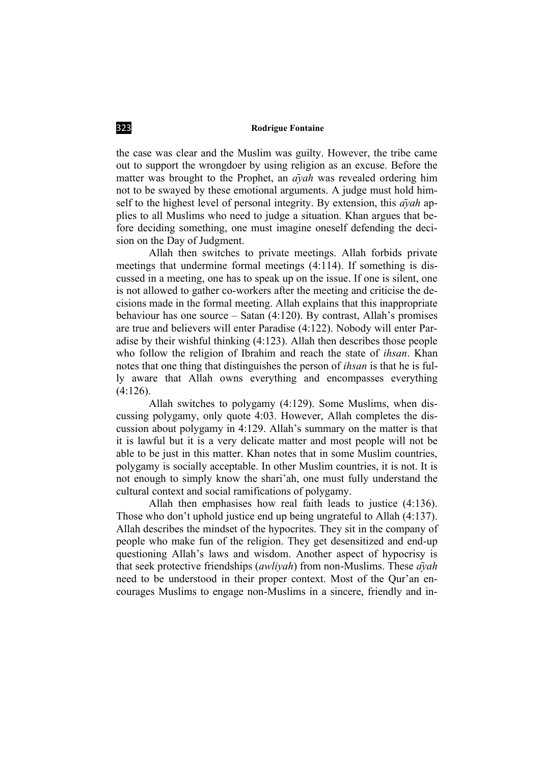the case was clear and the Muslim was guilty. However, the tribe came out to support the wrongdoer by using religion as an excuse. Before the matter was brought to the Prophet, an *āyah* was revealed ordering him not to be swayed by these emotional arguments. A judge must hold himself to the highest level of personal integrity. By extension, this *āyah* applies to all Muslims who need to judge a situation. Khan argues that before deciding something, one must imagine oneself defending the decision on the Day of Judgment.

Allah then switches to private meetings. Allah forbids private meetings that undermine formal meetings (4:114). If something is discussed in a meeting, one has to speak up on the issue. If one is silent, one is not allowed to gather co-workers after the meeting and criticise the decisions made in the formal meeting. Allah explains that this inappropriate behaviour has one source – Satan (4:120). By contrast, Allah's promises are true and believers will enter Paradise (4:122). Nobody will enter Paradise by their wishful thinking (4:123). Allah then describes those people who follow the religion of Ibrahim and reach the state of *ihsan*. Khan notes that one thing that distinguishes the person of *ihsan* is that he is fully aware that Allah owns everything and encompasses everything (4:126).

Allah switches to polygamy (4:129). Some Muslims, when discussing polygamy, only quote 4:03. However, Allah completes the discussion about polygamy in 4:129. Allah's summary on the matter is that it is lawful but it is a very delicate matter and most people will not be able to be just in this matter. Khan notes that in some Muslim countries, polygamy is socially acceptable. In other Muslim countries, it is not. It is not enough to simply know the shari'ah, one must fully understand the cultural context and social ramifications of polygamy.

Allah then emphasises how real faith leads to justice (4:136). Those who don't uphold justice end up being ungrateful to Allah (4:137). Allah describes the mindset of the hypocrites. They sit in the company of people who make fun of the religion. They get desensitized and end-up questioning Allah's laws and wisdom. Another aspect of hypocrisy is that seek protective friendships (*awliyah*) from non-Muslims. These *āyah* need to be understood in their proper context. Most of the Qur'an encourages Muslims to engage non-Muslims in a sincere, friendly and in-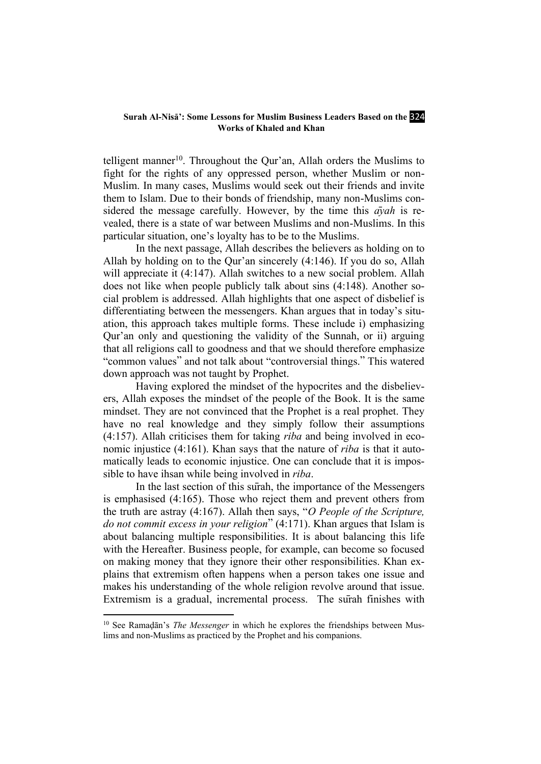#### Surah Al-Nisa<sup>2</sup>: Some Lessons for Muslim Business Leaders Based on the <sup>324</sup> **Works of Khaled and Khan**

telligent manner<sup>10</sup>. Throughout the Qur'an, Allah orders the Muslims to fight for the rights of any oppressed person, whether Muslim or non-Muslim. In many cases, Muslims would seek out their friends and invite them to Islam. Due to their bonds of friendship, many non-Muslims considered the message carefully. However, by the time this *āyah* is revealed, there is a state of war between Muslims and non-Muslims. In this particular situation, one's loyalty has to be to the Muslims.

In the next passage, Allah describes the believers as holding on to Allah by holding on to the Qur'an sincerely (4:146). If you do so, Allah will appreciate it (4:147). Allah switches to a new social problem. Allah does not like when people publicly talk about sins (4:148). Another social problem is addressed. Allah highlights that one aspect of disbelief is differentiating between the messengers. Khan argues that in today's situation, this approach takes multiple forms. These include i) emphasizing Qur'an only and questioning the validity of the Sunnah, or ii) arguing that all religions call to goodness and that we should therefore emphasize "common values" and not talk about "controversial things." This watered down approach was not taught by Prophet.

Having explored the mindset of the hypocrites and the disbelievers, Allah exposes the mindset of the people of the Book. It is the same mindset. They are not convinced that the Prophet is a real prophet. They have no real knowledge and they simply follow their assumptions (4:157). Allah criticises them for taking *riba* and being involved in economic injustice (4:161). Khan says that the nature of *riba* is that it automatically leads to economic injustice. One can conclude that it is impossible to have ihsan while being involved in *riba*.

In the last section of this sūrah, the importance of the Messengers is emphasised (4:165). Those who reject them and prevent others from the truth are astray (4:167). Allah then says, "*O People of the Scripture, do not commit excess in your religion*" (4:171). Khan argues that Islam is about balancing multiple responsibilities. It is about balancing this life with the Hereafter. Business people, for example, can become so focused on making money that they ignore their other responsibilities. Khan explains that extremism often happens when a person takes one issue and makes his understanding of the whole religion revolve around that issue. Extremism is a gradual, incremental process. The sūrah finishes with

<sup>&</sup>lt;sup>10</sup> See Ramaḍān's *The Messenger* in which he explores the friendships between Muslims and non-Muslims as practiced by the Prophet and his companions.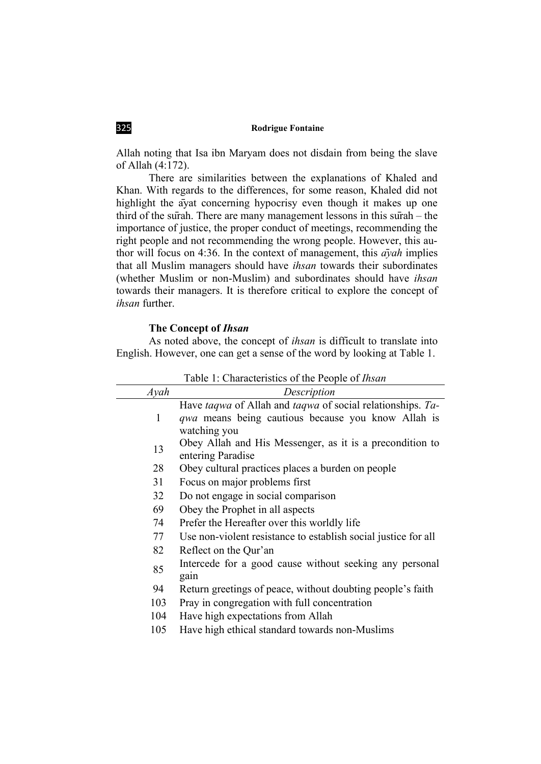Allah noting that Isa ibn Maryam does not disdain from being the slave of Allah (4:172).

There are similarities between the explanations of Khaled and Khan. With regards to the differences, for some reason, Khaled did not highlight the āyat concerning hypocrisy even though it makes up one third of the sūrah. There are many management lessons in this sūrah – the importance of justice, the proper conduct of meetings, recommending the right people and not recommending the wrong people. However, this author will focus on 4:36. In the context of management, this *āyah* implies that all Muslim managers should have *ihsan* towards their subordinates (whether Muslim or non-Muslim) and subordinates should have *ihsan* towards their managers. It is therefore critical to explore the concept of *ihsan* further.

#### **The Concept of** *Ihsan*

As noted above, the concept of *ihsan* is difficult to translate into English. However, one can get a sense of the word by looking at Table 1.

|      | Table 1: Characteristics of the People of <i>Ihsan</i>                                                                                  |
|------|-----------------------------------------------------------------------------------------------------------------------------------------|
| Ayah | Description                                                                                                                             |
| 1    | Have taqwa of Allah and taqwa of social relationships. Ta-<br><i>qwa</i> means being cautious because you know Allah is<br>watching you |
| 13   | Obey Allah and His Messenger, as it is a precondition to<br>entering Paradise                                                           |
| 28   | Obey cultural practices places a burden on people                                                                                       |
| 31   | Focus on major problems first                                                                                                           |
| 32   | Do not engage in social comparison                                                                                                      |
| 69   | Obey the Prophet in all aspects                                                                                                         |
| 74   | Prefer the Hereafter over this worldly life                                                                                             |
| 77   | Use non-violent resistance to establish social justice for all                                                                          |
| 82   | Reflect on the Qur'an                                                                                                                   |
| 85   | Intercede for a good cause without seeking any personal<br>gain                                                                         |
| 94   | Return greetings of peace, without doubting people's faith                                                                              |
| 103  | Pray in congregation with full concentration                                                                                            |
| 104  | Have high expectations from Allah                                                                                                       |
| 105  | Have high ethical standard towards non-Muslims                                                                                          |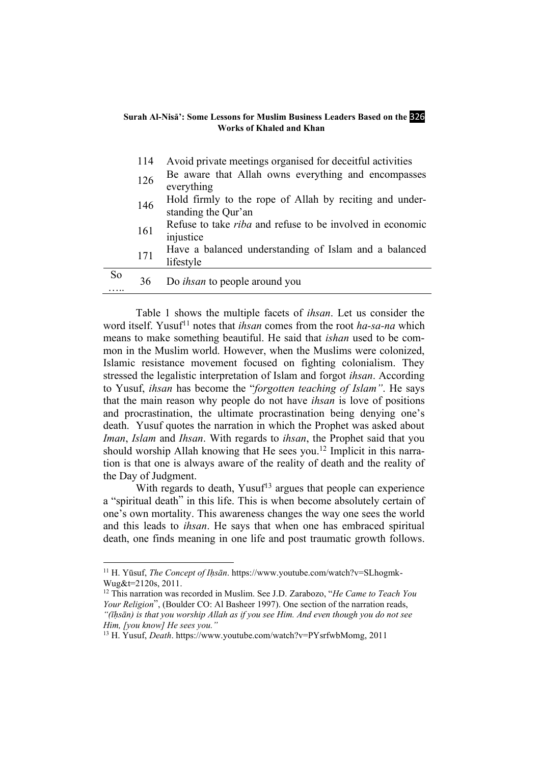#### **Surah Al-Nisā': Some Lessons for Muslim Business Leaders Based on the 326 Works of Khaled and Khan**

|           | 114 | Avoid private meetings organised for deceitful activities                      |
|-----------|-----|--------------------------------------------------------------------------------|
|           | 126 | Be aware that Allah owns everything and encompasses<br>everything              |
|           | 146 | Hold firmly to the rope of Allah by reciting and under-<br>standing the Qur'an |
|           | 161 | Refuse to take <i>riba</i> and refuse to be involved in economic<br>injustice  |
|           | 171 | Have a balanced understanding of Islam and a balanced<br>lifestyle             |
| <b>So</b> | 36  | Do <i>ihsan</i> to people around you                                           |

Table 1 shows the multiple facets of *ihsan*. Let us consider the word itself. Yusuf<sup>11</sup> notes that *ihsan* comes from the root *ha-sa-na* which means to make something beautiful. He said that *ishan* used to be common in the Muslim world. However, when the Muslims were colonized, Islamic resistance movement focused on fighting colonialism. They stressed the legalistic interpretation of Islam and forgot *ihsan*. According to Yusuf, *ihsan* has become the "*forgotten teaching of Islam"*. He says that the main reason why people do not have *ihsan* is love of positions and procrastination, the ultimate procrastination being denying one's death. Yusuf quotes the narration in which the Prophet was asked about *Iman*, *Islam* and *Ihsan*. With regards to *ihsan*, the Prophet said that you should worship Allah knowing that He sees you. <sup>12</sup> Implicit in this narration is that one is always aware of the reality of death and the reality of the Day of Judgment.

With regards to death, Yusuf<sup>13</sup> argues that people can experience a "spiritual death" in this life. This is when become absolutely certain of one's own mortality. This awareness changes the way one sees the world and this leads to *ihsan*. He says that when one has embraced spiritual death, one finds meaning in one life and post traumatic growth follows.

<sup>11</sup> H. Yūsuf, *The Concept of Iḥsān*. [https://www.youtube.com/watch?v=SLhogmk-](https://www.youtube.com/watch?v=SLhogmk-Wug&t=2120s)[Wug&t=2120s,](https://www.youtube.com/watch?v=SLhogmk-Wug&t=2120s) 2011.

<sup>12</sup> This narration was recorded in Muslim. See J.D. Zarabozo, "*He Came to Teach You Your Religion*", (Boulder CO: Al Basheer 1997). One section of the narration reads, *"(īḥsān) is that you worship Allah as if you see Him. And even though you do not see Him, [you know] He sees you."*

<sup>13</sup> H. Yusuf, *Death*. [https://www.youtube.com/watch?v=PYsrfwbMomg,](https://www.youtube.com/watch?v=PYsrfwbMomg) 2011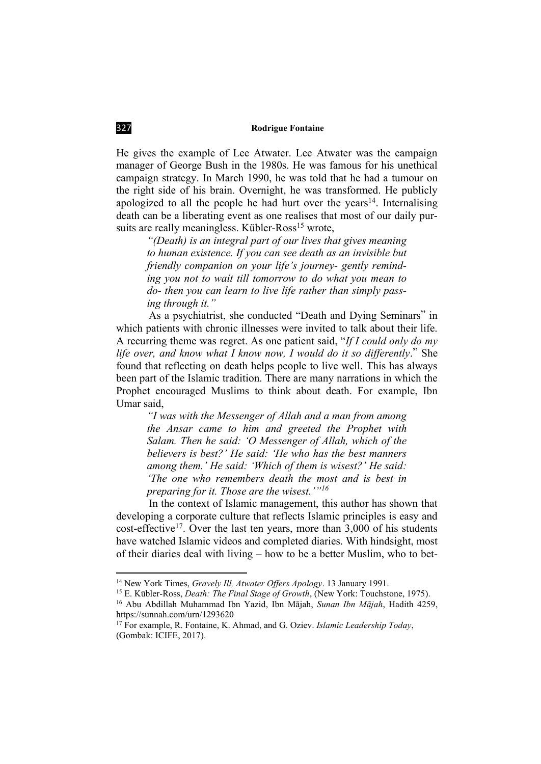He gives the example of Lee Atwater. Lee Atwater was the campaign manager of George Bush in the 1980s. He was famous for his unethical campaign strategy. In March 1990, he was told that he had a tumour on the right side of his brain. Overnight, he was transformed. He publicly apologized to all the people he had hurt over the years<sup>14</sup>. Internalising death can be a liberating event as one realises that most of our daily pursuits are really meaningless. Kübler-Ross<sup>15</sup> wrote,

*"(Death) is an integral part of our lives that gives meaning to human existence. If you can see death as an invisible but friendly companion on your life's journey- gently reminding you not to wait till tomorrow to do what you mean to do- then you can learn to live life rather than simply passing through it."* 

As a psychiatrist, she conducted "Death and Dying Seminars" in which patients with chronic illnesses were invited to talk about their life. A recurring theme was regret. As one patient said, "*If I could only do my life over, and know what I know now, I would do it so differently*." She found that reflecting on death helps people to live well. This has always been part of the Islamic tradition. There are many narrations in which the Prophet encouraged Muslims to think about death. For example, Ibn Umar said,

*"I was with the Messenger of Allah and a man from among the Ansar came to him and greeted the Prophet with Salam. Then he said: 'O Messenger of Allah, which of the believers is best?' He said: 'He who has the best manners among them.' He said: 'Which of them is wisest?' He said: 'The one who remembers death the most and is best in preparing for it. Those are the wisest.'"<sup>16</sup>*

In the context of Islamic management, this author has shown that developing a corporate culture that reflects Islamic principles is easy and cost-effective<sup>17</sup>. Over the last ten years, more than  $3,000$  of his students have watched Islamic videos and completed diaries. With hindsight, most of their diaries deal with living – how to be a better Muslim, who to bet-

**.** 

<sup>14</sup> New York Times, *Gravely Ill, Atwater Offers Apology*. 13 January 1991.

<sup>15</sup> E. Kūbler-Ross, *Death: The Final Stage of Growth*, (New York: Touchstone, 1975).

<sup>16</sup> Abu Abdillah Muhammad Ibn Yazid, Ibn Mājah, *Sunan Ibn Mājah*, Hadith 4259, <https://sunnah.com/urn/1293620>

<sup>17</sup> For example, R. Fontaine, K. Ahmad, and G. Oziev. *Islamic Leadership Today*, (Gombak: ICIFE, 2017).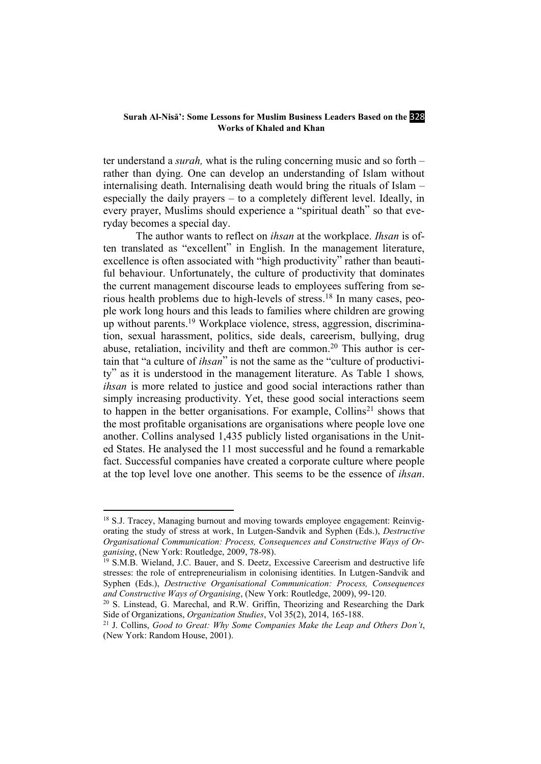#### **Surah Al-Nisa': Some Lessons for Muslim Business Leaders Based on the 328 Works of Khaled and Khan**

ter understand a *surah,* what is the ruling concerning music and so forth – rather than dying. One can develop an understanding of Islam without internalising death. Internalising death would bring the rituals of Islam – especially the daily prayers – to a completely different level. Ideally, in every prayer, Muslims should experience a "spiritual death" so that everyday becomes a special day.

The author wants to reflect on *ihsan* at the workplace. *Ihsan* is often translated as "excellent" in English. In the management literature, excellence is often associated with "high productivity" rather than beautiful behaviour. Unfortunately, the culture of productivity that dominates the current management discourse leads to employees suffering from serious health problems due to high-levels of stress. <sup>18</sup> In many cases, people work long hours and this leads to families where children are growing up without parents. <sup>19</sup> Workplace violence, stress, aggression, discrimination, sexual harassment, politics, side deals, careerism, bullying, drug abuse, retaliation, incivility and theft are common.<sup>20</sup> This author is certain that "a culture of *ihsan*" is not the same as the "culture of productivity" as it is understood in the management literature. As Table 1 shows*, ihsan* is more related to justice and good social interactions rather than simply increasing productivity. Yet, these good social interactions seem to happen in the better organisations. For example, Collins<sup>21</sup> shows that the most profitable organisations are organisations where people love one another. Collins analysed 1,435 publicly listed organisations in the United States. He analysed the 11 most successful and he found a remarkable fact. Successful companies have created a corporate culture where people at the top level love one another. This seems to be the essence of *ihsan*.

**.** 

<sup>&</sup>lt;sup>18</sup> S.J. Tracey, Managing burnout and moving towards employee engagement: Reinvigorating the study of stress at work, In Lutgen-Sandvik and Syphen (Eds.), *Destructive Organisational Communication: Process, Consequences and Constructive Ways of Organising*, (New York: Routledge, 2009, 78-98).<br><sup>19</sup> S.M.B. Wieland, J.C. Bauer, and S. Deetz, Excessive Careerism and destructive life

stresses: the role of entrepreneurialism in colonising identities. In Lutgen-Sandvik and Syphen (Eds.), *Destructive Organisational Communication: Process, Consequences and Constructive Ways of Organising*, (New York: Routledge, 2009), 99-120.

 $20$  S. Linstead, G. Marechal, and R.W. Griffin, Theorizing and Researching the Dark Side of Organizations, *Organization Studies*, Vol 35(2), 2014, 165-188.

<sup>21</sup> J. Collins, *Good to Great: Why Some Companies Make the Leap and Others Don't*, (New York: Random House, 2001).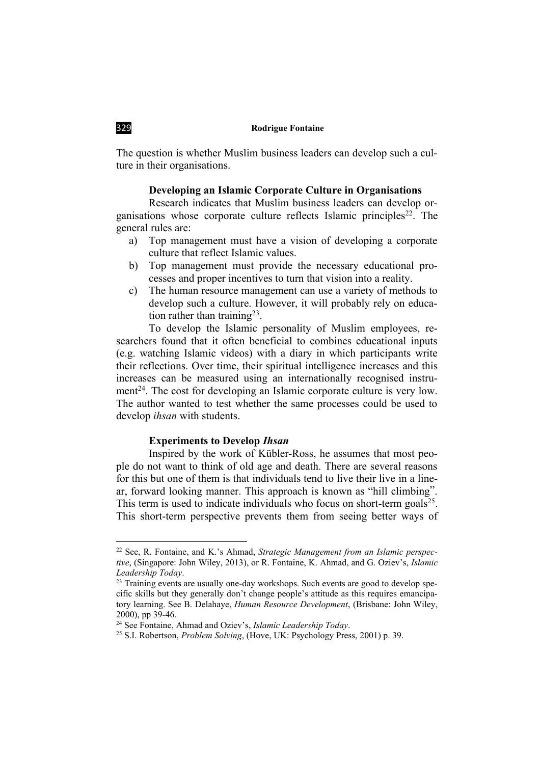The question is whether Muslim business leaders can develop such a culture in their organisations.

### **Developing an Islamic Corporate Culture in Organisations**

Research indicates that Muslim business leaders can develop organisations whose corporate culture reflects Islamic principles<sup>22</sup>. The general rules are:

- a) Top management must have a vision of developing a corporate culture that reflect Islamic values.
- b) Top management must provide the necessary educational processes and proper incentives to turn that vision into a reality.
- c) The human resource management can use a variety of methods to develop such a culture. However, it will probably rely on education rather than training<sup>23</sup>.

To develop the Islamic personality of Muslim employees, researchers found that it often beneficial to combines educational inputs (e.g. watching Islamic videos) with a diary in which participants write their reflections. Over time, their spiritual intelligence increases and this increases can be measured using an internationally recognised instrument<sup>24</sup>. The cost for developing an Islamic corporate culture is very low. The author wanted to test whether the same processes could be used to develop *ihsan* with students.

### **Experiments to Develop** *Ihsan*

Inspired by the work of Kübler-Ross, he assumes that most people do not want to think of old age and death. There are several reasons for this but one of them is that individuals tend to live their live in a linear, forward looking manner. This approach is known as "hill climbing". This term is used to indicate individuals who focus on short-term goals<sup>25</sup>. This short-term perspective prevents them from seeing better ways of

<sup>22</sup> See, R. Fontaine, and K.'s Ahmad, *Strategic Management from an Islamic perspective*, (Singapore: John Wiley, 2013), or R. Fontaine, K. Ahmad, and G. Oziev's, *Islamic Leadership Today*.

<sup>&</sup>lt;sup>23</sup> Training events are usually one-day workshops. Such events are good to develop specific skills but they generally don't change people's attitude as this requires emancipatory learning. See B. Delahaye, *Human Resource Development*, (Brisbane: John Wiley, 2000), pp 39-46. 24 See Fontaine, Ahmad and Oziev's, *Islamic Leadership Today*. 25 S.I. Robertson, *Problem Solving*, (Hove, UK: Psychology Press, 2001) p. 39.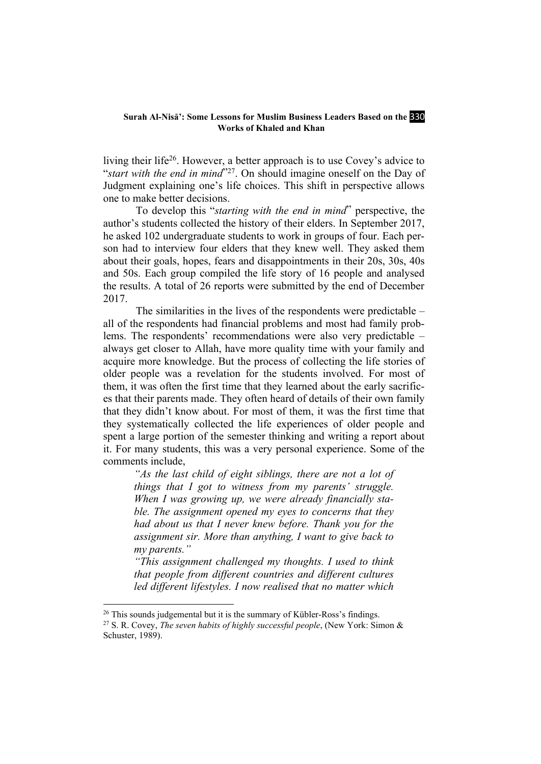#### **Surah Al-Nisa: Some Lessons for Muslim Business Leaders Based on the 330 Works of Khaled and Khan**

living their life<sup>26</sup>. However, a better approach is to use Covey's advice to "*start with the end in mind*"27. On should imagine oneself on the Day of Judgment explaining one's life choices. This shift in perspective allows one to make better decisions.

To develop this "*starting with the end in mind*" perspective, the author's students collected the history of their elders. In September 2017, he asked 102 undergraduate students to work in groups of four. Each person had to interview four elders that they knew well. They asked them about their goals, hopes, fears and disappointments in their 20s, 30s, 40s and 50s. Each group compiled the life story of 16 people and analysed the results. A total of 26 reports were submitted by the end of December 2017.

The similarities in the lives of the respondents were predictable – all of the respondents had financial problems and most had family problems. The respondents' recommendations were also very predictable – always get closer to Allah, have more quality time with your family and acquire more knowledge. But the process of collecting the life stories of older people was a revelation for the students involved. For most of them, it was often the first time that they learned about the early sacrifices that their parents made. They often heard of details of their own family that they didn't know about. For most of them, it was the first time that they systematically collected the life experiences of older people and spent a large portion of the semester thinking and writing a report about it. For many students, this was a very personal experience. Some of the comments include,

*"As the last child of eight siblings, there are not a lot of things that I got to witness from my parents' struggle. When I was growing up, we were already financially stable. The assignment opened my eyes to concerns that they had about us that I never knew before. Thank you for the assignment sir. More than anything, I want to give back to my parents."*

*"This assignment challenged my thoughts. I used to think that people from different countries and different cultures led different lifestyles. I now realised that no matter which* 

**.** 

 $26$  This sounds judgemental but it is the summary of Kübler-Ross's findings.

<sup>27</sup> S. R. Covey, *The seven habits of highly successful people*, (New York: Simon & Schuster, 1989).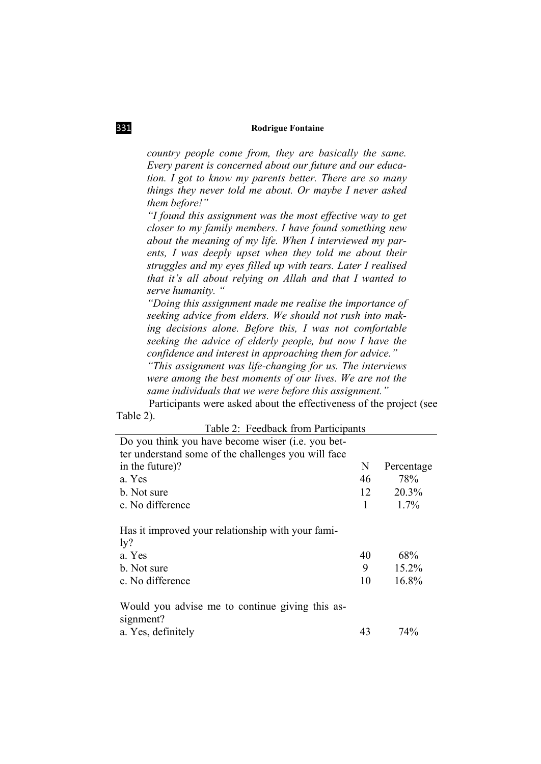*country people come from, they are basically the same. Every parent is concerned about our future and our education. I got to know my parents better. There are so many things they never told me about. Or maybe I never asked them before!"*

*"I found this assignment was the most effective way to get closer to my family members. I have found something new about the meaning of my life. When I interviewed my parents, I was deeply upset when they told me about their struggles and my eyes filled up with tears. Later I realised that it's all about relying on Allah and that I wanted to serve humanity. "*

*"Doing this assignment made me realise the importance of seeking advice from elders. We should not rush into making decisions alone. Before this, I was not comfortable seeking the advice of elderly people, but now I have the confidence and interest in approaching them for advice." "This assignment was life-changing for us. The interviews were among the best moments of our lives. We are not the* 

*same individuals that we were before this assignment."*

Participants were asked about the effectiveness of the project (see Table 2).

| Table 2: Feedback from Participants                                                                             |    |                       |
|-----------------------------------------------------------------------------------------------------------------|----|-----------------------|
| Do you think you have become wiser (i.e. you bet-                                                               |    |                       |
| ter understand some of the challenges you will face                                                             |    |                       |
| in the future)?                                                                                                 | N  | Percentage            |
| a. Yes                                                                                                          | 46 | 78%                   |
| b. Not sure                                                                                                     | 12 | 20.3%                 |
| c. No difference                                                                                                |    | $1.7\%$               |
| Has it improved your relationship with your fami-<br>$\frac{1}{2}$<br>a. Yes<br>b. Not sure<br>c. No difference |    | 68%<br>15.2%<br>16.8% |
| Would you advise me to continue giving this as-<br>signment?                                                    |    |                       |
| a. Yes, definitely                                                                                              | 43 | 74%                   |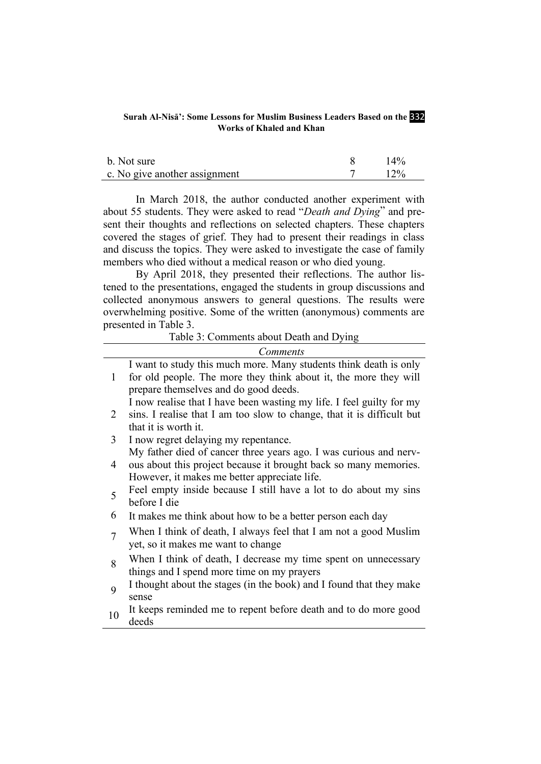#### **Surah Al-Nisā': Some Lessons for Muslim Business Leaders Based on the 332 Works of Khaled and Khan**

| b. Not sure                   | $14\%$ |
|-------------------------------|--------|
| c. No give another assignment | $12\%$ |

In March 2018, the author conducted another experiment with about 55 students. They were asked to read "*Death and Dying*" and present their thoughts and reflections on selected chapters. These chapters covered the stages of grief. They had to present their readings in class and discuss the topics. They were asked to investigate the case of family members who died without a medical reason or who died young.

By April 2018, they presented their reflections. The author listened to the presentations, engaged the students in group discussions and collected anonymous answers to general questions. The results were overwhelming positive. Some of the written (anonymous) comments are presented in Table 3.

Table 3: Comments about Death and Dying

|        | <i>Comments</i>                                                                                                                                                                       |
|--------|---------------------------------------------------------------------------------------------------------------------------------------------------------------------------------------|
| 1      | I want to study this much more. Many students think death is only<br>for old people. The more they think about it, the more they will<br>prepare themselves and do good deeds.        |
| 2      | I now realise that I have been wasting my life. I feel guilty for my<br>sins. I realise that I am too slow to change, that it is difficult but<br>that it is worth it.                |
| 3      | I now regret delaying my repentance.                                                                                                                                                  |
| 4      | My father died of cancer three years ago. I was curious and nerv-<br>ous about this project because it brought back so many memories.<br>However, it makes me better appreciate life. |
| 5      | Feel empty inside because I still have a lot to do about my sins<br>before I die                                                                                                      |
| 6      | It makes me think about how to be a better person each day                                                                                                                            |
| $\tau$ | When I think of death, I always feel that I am not a good Muslim<br>yet, so it makes me want to change                                                                                |
| 8      | When I think of death, I decrease my time spent on unnecessary<br>things and I spend more time on my prayers                                                                          |
| 9      | I thought about the stages (in the book) and I found that they make<br>sense                                                                                                          |
| 10     | It keeps reminded me to repent before death and to do more good<br>deeds                                                                                                              |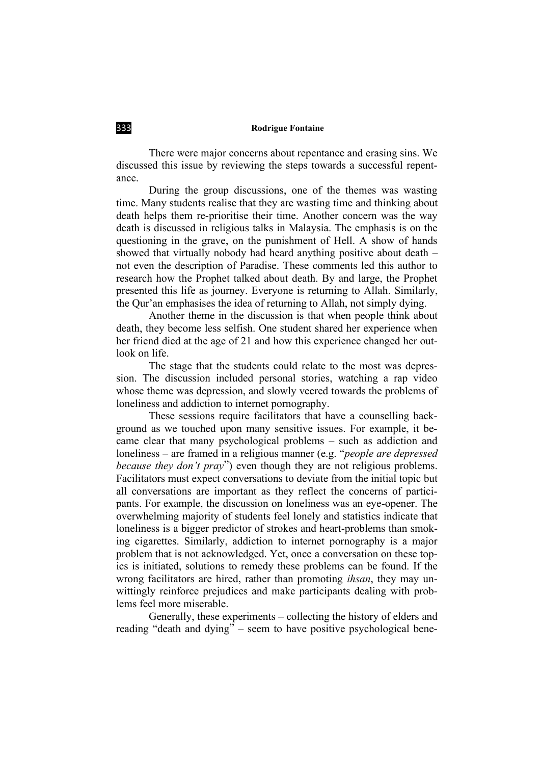There were major concerns about repentance and erasing sins. We discussed this issue by reviewing the steps towards a successful repentance.

During the group discussions, one of the themes was wasting time. Many students realise that they are wasting time and thinking about death helps them re-prioritise their time. Another concern was the way death is discussed in religious talks in Malaysia. The emphasis is on the questioning in the grave, on the punishment of Hell. A show of hands showed that virtually nobody had heard anything positive about death – not even the description of Paradise. These comments led this author to research how the Prophet talked about death. By and large, the Prophet presented this life as journey. Everyone is returning to Allah. Similarly, the Qur'an emphasises the idea of returning to Allah, not simply dying.

Another theme in the discussion is that when people think about death, they become less selfish. One student shared her experience when her friend died at the age of 21 and how this experience changed her outlook on life.

The stage that the students could relate to the most was depression. The discussion included personal stories, watching a rap video whose theme was depression, and slowly veered towards the problems of loneliness and addiction to internet pornography.

These sessions require facilitators that have a counselling background as we touched upon many sensitive issues. For example, it became clear that many psychological problems – such as addiction and loneliness – are framed in a religious manner (e.g. "*people are depressed because they don't pray*") even though they are not religious problems. Facilitators must expect conversations to deviate from the initial topic but all conversations are important as they reflect the concerns of participants. For example, the discussion on loneliness was an eye-opener. The overwhelming majority of students feel lonely and statistics indicate that loneliness is a bigger predictor of strokes and heart-problems than smoking cigarettes. Similarly, addiction to internet pornography is a major problem that is not acknowledged. Yet, once a conversation on these topics is initiated, solutions to remedy these problems can be found. If the wrong facilitators are hired, rather than promoting *ihsan*, they may unwittingly reinforce prejudices and make participants dealing with problems feel more miserable.

Generally, these experiments – collecting the history of elders and reading "death and dying" – seem to have positive psychological bene-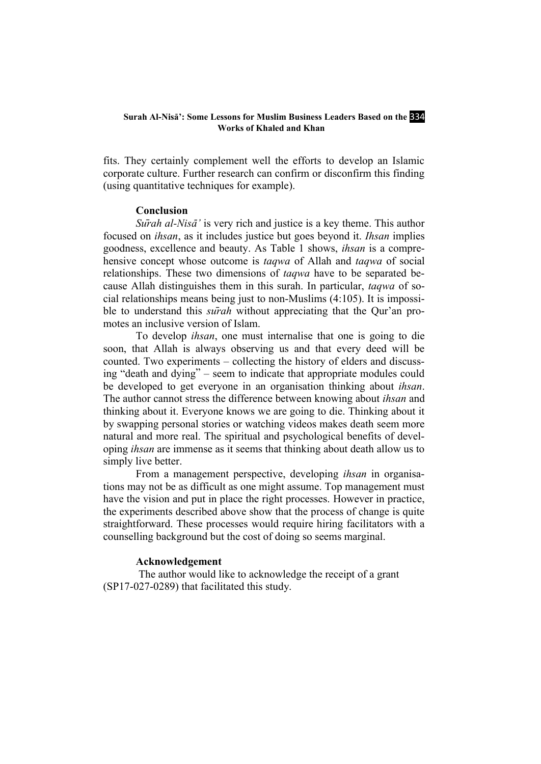#### **Surah Al-Nisā': Some Lessons for Muslim Business Leaders Based on the 334 Works of Khaled and Khan**

fits. They certainly complement well the efforts to develop an Islamic corporate culture. Further research can confirm or disconfirm this finding (using quantitative techniques for example).

#### **Conclusion**

*Surah al-Nisā*<sup>*'*</sup> is very rich and justice is a key theme. This author focused on *ihsan*, as it includes justice but goes beyond it. *Ihsan* implies goodness, excellence and beauty. As Table 1 shows, *ihsan* is a comprehensive concept whose outcome is *taqwa* of Allah and *taqwa* of social relationships. These two dimensions of *taqwa* have to be separated because Allah distinguishes them in this surah. In particular, *taqwa* of social relationships means being just to non-Muslims (4:105). It is impossible to understand this *sūrah* without appreciating that the Qur'an promotes an inclusive version of Islam.

To develop *ihsan*, one must internalise that one is going to die soon, that Allah is always observing us and that every deed will be counted. Two experiments – collecting the history of elders and discussing "death and dying" – seem to indicate that appropriate modules could be developed to get everyone in an organisation thinking about *ihsan*. The author cannot stress the difference between knowing about *ihsan* and thinking about it. Everyone knows we are going to die. Thinking about it by swapping personal stories or watching videos makes death seem more natural and more real. The spiritual and psychological benefits of developing *ihsan* are immense as it seems that thinking about death allow us to simply live better.

From a management perspective, developing *ihsan* in organisations may not be as difficult as one might assume. Top management must have the vision and put in place the right processes. However in practice, the experiments described above show that the process of change is quite straightforward. These processes would require hiring facilitators with a counselling background but the cost of doing so seems marginal.

#### **Acknowledgement**

The author would like to acknowledge the receipt of a grant (SP17-027-0289) that facilitated this study.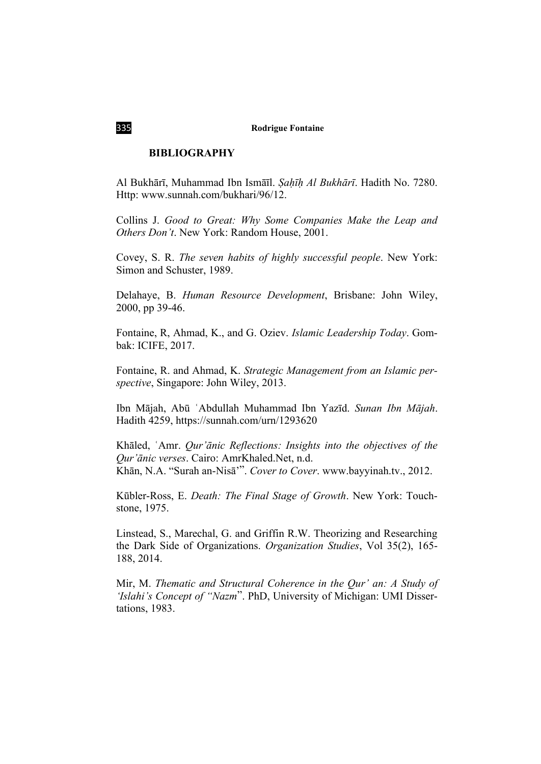### **BIBLIOGRAPHY**

Al Bukhārī, Muhammad Ibn Ismāīl. *Ṣaḥīḥ Al Bukhārī*. Hadith No. 7280. Http: [www.sunnah.com/bukhari/96/12.](http://www.sunnah.com/bukhari/96/12)

Collins J. *Good to Great: Why Some Companies Make the Leap and Others Don't*. New York: Random House, 2001.

Covey, S. R. *The seven habits of highly successful people*. New York: Simon and Schuster, 1989.

Delahaye, B. *Human Resource Development*, Brisbane: John Wiley, 2000, pp 39-46.

Fontaine, R, Ahmad, K., and G. Oziev. *Islamic Leadership Today*. Gombak: ICIFE, 2017.

Fontaine, R. and Ahmad, K. *Strategic Management from an Islamic perspective*, Singapore: John Wiley, 2013.

Ibn Mājah, Abū ʿAbdullah Muhammad Ibn Yazīd. *Sunan Ibn Mājah*. Hadith 4259,<https://sunnah.com/urn/1293620>

Khāled, ʿAmr. *Qur'ānic Reflections: Insights into the objectives of the Qur'ānic verses*. Cairo: AmrKhaled.Net, n.d. Khān, N.A. "Surah an-Nisā'". *Cover to Cover*. [www.bayyinah.tv.](http://www.bayyinah.tv/), 2012.

Kūbler-Ross, E. *Death: The Final Stage of Growth*. New York: Touchstone, 1975.

Linstead, S., Marechal, G. and Griffin R.W. Theorizing and Researching the Dark Side of Organizations. *Organization Studies*, Vol 35(2), 165- 188, 2014.

Mir, M. *Thematic and Structural Coherence in the Qur' an: A Study of 'Islahi's Concept of "Nazm*". PhD, University of Michigan: UMI Dissertations, 1983.